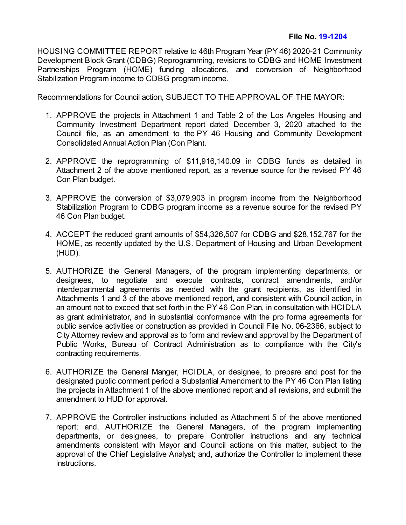HOUSING COMMITTEE REPORT relative to 46th Program Year (PY 46) 2020-21 Community Development Block Grant (CDBG) Reprogramming, revisions to CDBG and HOME Investment Partnerships Program (HOME) funding allocations, and conversion of Neighborhood Stabilization Program income to CDBG program income.

Recommendations for Council action, SUBJECT TO THE APPROVAL OF THE MAYOR:

- 1. APPROVE the projects in Attachment 1 and Table 2 of the Los Angeles Housing and Community Investment Department report dated December 3, 2020 attached to the Council file, as an amendment to the PY 46 Housing and Community Development Consolidated Annual Action Plan (Con Plan).
- 2. APPROVE the reprogramming of \$11,916,140.09 in CDBG funds as detailed in Attachment 2 of the above mentioned report, as a revenue source for the revised PY 46 Con Plan budget.
- 3. APPROVE the conversion of \$3,079,903 in program income from the Neighborhood Stabilization Program to CDBG program income as a revenue source for the revised PY 46 Con Plan budget.
- 4. ACCEPT the reduced grant amounts of \$54,326,507 for CDBG and \$28,152,767 for the HOME, as recently updated by the U.S. Department of Housing and Urban Development (HUD).
- 5. AUTHORIZE the General Managers, of the program implementing departments, or designees, to negotiate and execute contracts, contract amendments, and/or interdepartmental agreements as needed with the grant recipients, as identified in Attachments 1 and 3 of the above mentioned report, and consistent with Council action, in an amount not to exceed that set forth in the PY 46 Con Plan, in consultation with HCIDLA as grant administrator, and in substantial conformance with the pro forma agreements for public service activities or construction as provided in Council File No. 06-2366, subject to City Attorney review and approval as to form and review and approval by the Department of Public Works, Bureau of Contract Administration as to compliance with the City's contracting requirements.
- 6. AUTHORIZE the General Manger, HCIDLA, or designee, to prepare and post for the designated public comment period a Substantial Amendment to the PY 46 Con Plan listing the projects in Attachment 1 of the above mentioned report and all revisions, and submit the amendment to HUD for approval.
- 7. APPROVE the Controller instructions included as Attachment 5 of the above mentioned report; and, AUTHORIZE the General Managers, of the program implementing departments, or designees, to prepare Controller instructions and any technical amendments consistent with Mayor and Council actions on this matter, subject to the approval of the Chief Legislative Analyst; and, authorize the Controller to implement these instructions.